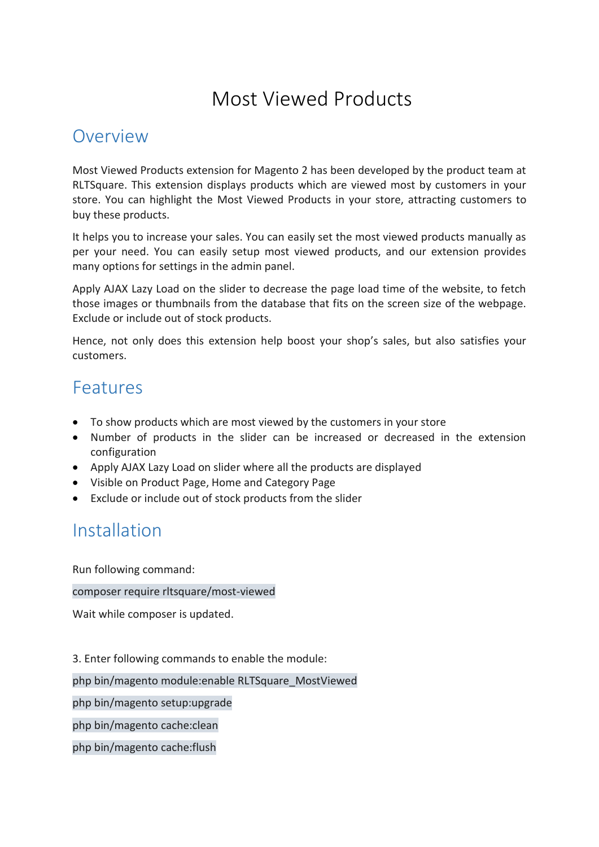# Most Viewed Products

#### **Overview**

Most Viewed Products extension for Magento 2 has been developed by the product team at RLTSquare. This extension displays products which are viewed most by customers in your store. You can highlight the Most Viewed Products in your store, attracting customers to buy these products.

It helps you to increase your sales. You can easily set the most viewed products manually as per your need. You can easily setup most viewed products, and our extension provides many options for settings in the admin panel.

Apply AJAX Lazy Load on the slider to decrease the page load time of the website, to fetch those images or thumbnails from the database that fits on the screen size of the webpage. Exclude or include out of stock products.

Hence, not only does this extension help boost your shop's sales, but also satisfies your customers.

### Features

- To show products which are most viewed by the customers in your store
- Number of products in the slider can be increased or decreased in the extension configuration
- Apply AJAX Lazy Load on slider where all the products are displayed
- Visible on Product Page, Home and Category Page
- Exclude or include out of stock products from the slider

## **Installation**

Run following command:

composer require rltsquare/most-viewed

Wait while composer is updated.

3. Enter following commands to enable the module:

php bin/magento module:enable RLTSquare\_MostViewed

php bin/magento setup:upgrade

php bin/magento cache:clean

php bin/magento cache:flush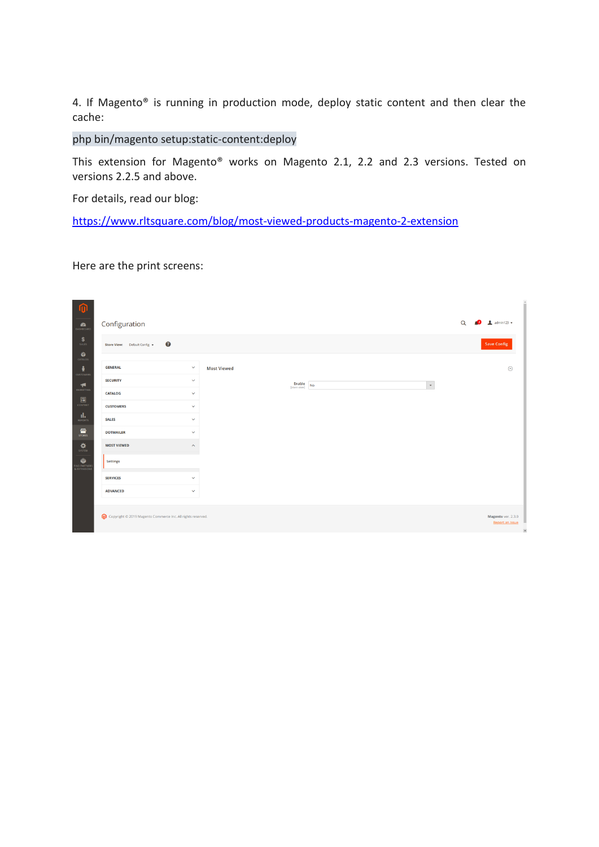4. If Magento® is running in production mode, deploy static content and then clear the cache:

#### php bin/magento setup:static-content:deploy

This extension for Magento® works on Magento 2.1, 2.2 and 2.3 versions. Tested on versions 2.2.5 and above.

For details, read our blog:

[https://www.rltsquare.com/blog/m](https://www.rltsquare.com/blog/tcs-magento-2-extension/)ost-viewed-products-magento-2-extension

Here are the print screens:

| $\mathbf{0}$                                                                                                                                                                                                                                                                                                                                                                                                                                                                                               |                                                             |                    |                                                    |                                                  |
|------------------------------------------------------------------------------------------------------------------------------------------------------------------------------------------------------------------------------------------------------------------------------------------------------------------------------------------------------------------------------------------------------------------------------------------------------------------------------------------------------------|-------------------------------------------------------------|--------------------|----------------------------------------------------|--------------------------------------------------|
| $\sum_{\text{DASHBOARD}}$                                                                                                                                                                                                                                                                                                                                                                                                                                                                                  | Configuration                                               |                    |                                                    | $\frac{1}{2}$ admin123 $\star$<br>$\alpha$<br>r2 |
| $S_{\text{AUS}}$                                                                                                                                                                                                                                                                                                                                                                                                                                                                                           | $\boldsymbol{Q}$<br>Store View: Default Config v            |                    |                                                    | <b>Save Config</b>                               |
| $\bullet$<br>CATALOG                                                                                                                                                                                                                                                                                                                                                                                                                                                                                       |                                                             |                    |                                                    |                                                  |
| ÷<br><b>CUSTOMERS</b>                                                                                                                                                                                                                                                                                                                                                                                                                                                                                      | <b>GENERAL</b><br>$\checkmark$                              | <b>Most Viewed</b> |                                                    | $\odot$                                          |
| $\sqrt{\phantom{a}}$                                                                                                                                                                                                                                                                                                                                                                                                                                                                                       | <b>SECURITY</b><br>$\checkmark$                             |                    | $\bar{\mathbf{v}}$<br>Enable<br>No<br>[store view] |                                                  |
|                                                                                                                                                                                                                                                                                                                                                                                                                                                                                                            | <b>CATALOG</b><br>$\checkmark$                              |                    |                                                    |                                                  |
| $\fbox{unitary} \begin{tabular}{c} \hline \hline \hline \multicolumn{3}{c} {\textbf{1}} \\ \multicolumn{3}{c} {\textbf{1}} \\ \multicolumn{3}{c} {\textbf{1}} \\ \multicolumn{3}{c} {\textbf{1}} \\ \multicolumn{3}{c} {\textbf{1}} \\ \multicolumn{3}{c} {\textbf{1}} \\ \multicolumn{3}{c} {\textbf{1}} \\ \multicolumn{3}{c} {\textbf{1}} \\ \multicolumn{3}{c} {\textbf{1}} \\ \multicolumn{3}{c} {\textbf{1}} \\ \multicolumn{3}{c} {\textbf{1}} \\ \multicolumn{3}{c} {\textbf{1}} \\ \multicolumn{$ | <b>CUSTOMERS</b><br>$\checkmark$                            |                    |                                                    |                                                  |
| $\prod_{\mathrm{REDRTS}}$                                                                                                                                                                                                                                                                                                                                                                                                                                                                                  | <b>SALES</b><br>$\checkmark$                                |                    |                                                    |                                                  |
| $\frac{d\mathbf{m}}{s\mathsf{rows}}$                                                                                                                                                                                                                                                                                                                                                                                                                                                                       | <b>DOTMAILER</b><br>$\checkmark$                            |                    |                                                    |                                                  |
| $\frac{1}{\text{SVTEM}}$                                                                                                                                                                                                                                                                                                                                                                                                                                                                                   | <b>MOST VIEWED</b><br>$\widehat{\phantom{a}}$               |                    |                                                    |                                                  |
| FIND PARTNERS<br>& EXTENSIONS                                                                                                                                                                                                                                                                                                                                                                                                                                                                              | Settings                                                    |                    |                                                    |                                                  |
|                                                                                                                                                                                                                                                                                                                                                                                                                                                                                                            | <b>SERVICES</b><br>$\checkmark$                             |                    |                                                    |                                                  |
|                                                                                                                                                                                                                                                                                                                                                                                                                                                                                                            | <b>ADVANCED</b><br>$\checkmark$                             |                    |                                                    |                                                  |
|                                                                                                                                                                                                                                                                                                                                                                                                                                                                                                            |                                                             |                    |                                                    |                                                  |
|                                                                                                                                                                                                                                                                                                                                                                                                                                                                                                            | Copyright @ 2019 Magento Commerce Inc. All rights reserved. |                    |                                                    | Magento ver. 2.3.0<br><b>Report an Issue</b>     |
|                                                                                                                                                                                                                                                                                                                                                                                                                                                                                                            |                                                             |                    |                                                    | F                                                |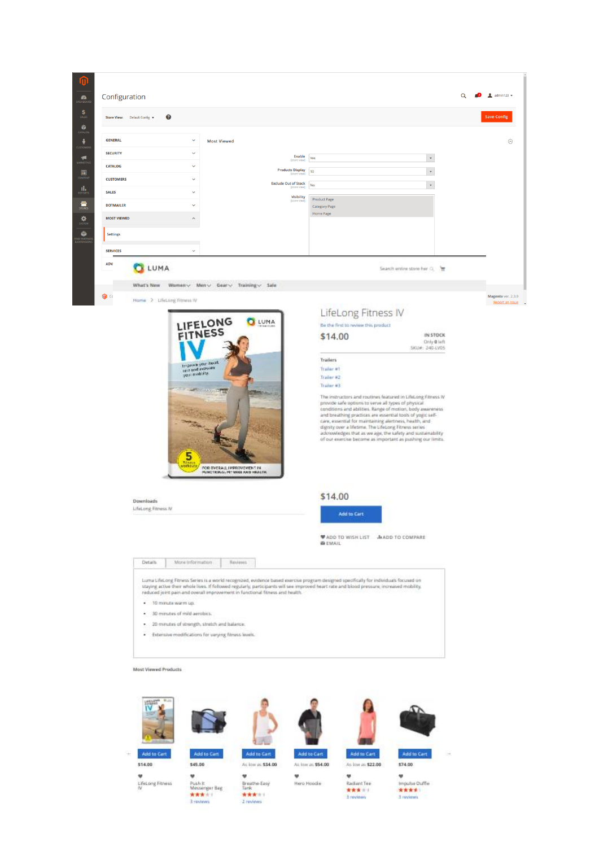| Configuration<br>$\bullet$                                                         |                                  |                                      |                                                                                                                                                                                                                                                                                                                                                                                                                                                                               |                                 |                                      |                                                                                                                                                                                                                                                                                                                                                                                                                                                                                                | $\alpha$ | $\triangle$ admin123 $\star$                 |
|------------------------------------------------------------------------------------|----------------------------------|--------------------------------------|-------------------------------------------------------------------------------------------------------------------------------------------------------------------------------------------------------------------------------------------------------------------------------------------------------------------------------------------------------------------------------------------------------------------------------------------------------------------------------|---------------------------------|--------------------------------------|------------------------------------------------------------------------------------------------------------------------------------------------------------------------------------------------------------------------------------------------------------------------------------------------------------------------------------------------------------------------------------------------------------------------------------------------------------------------------------------------|----------|----------------------------------------------|
|                                                                                    |                                  |                                      |                                                                                                                                                                                                                                                                                                                                                                                                                                                                               |                                 |                                      |                                                                                                                                                                                                                                                                                                                                                                                                                                                                                                |          |                                              |
| $S_{SALES}$<br>Store View: Default Config +                                        | ᢙ                                |                                      |                                                                                                                                                                                                                                                                                                                                                                                                                                                                               |                                 |                                      |                                                                                                                                                                                                                                                                                                                                                                                                                                                                                                |          | <b>Save Config</b>                           |
| $\sum_{CATION}$<br><b>GENERAL</b>                                                  |                                  | $\checkmark$                         | <b>Most Viewed</b>                                                                                                                                                                                                                                                                                                                                                                                                                                                            |                                 |                                      |                                                                                                                                                                                                                                                                                                                                                                                                                                                                                                |          |                                              |
| Ŷ.<br><b>SECURITY</b>                                                              |                                  | v                                    |                                                                                                                                                                                                                                                                                                                                                                                                                                                                               |                                 |                                      |                                                                                                                                                                                                                                                                                                                                                                                                                                                                                                |          | $\odot$                                      |
| <b>INARKETIN</b><br><b>CATALOG</b>                                                 |                                  | $\checkmark$                         |                                                                                                                                                                                                                                                                                                                                                                                                                                                                               | Enable<br>Estore                | Yes                                  | $\check{\phantom{a}}$<br>$^\star$                                                                                                                                                                                                                                                                                                                                                                                                                                                              |          |                                              |
| $\blacksquare$<br><b>CUSTOMERS</b>                                                 |                                  | $\checkmark$                         |                                                                                                                                                                                                                                                                                                                                                                                                                                                                               | <b>Products Display</b>         | 10                                   |                                                                                                                                                                                                                                                                                                                                                                                                                                                                                                |          |                                              |
| $\mathop{\mathsf{H}}\limits_{\scriptscriptstyle{\mathsf{REPORT}}}$<br><b>SALES</b> |                                  | $\checkmark$                         |                                                                                                                                                                                                                                                                                                                                                                                                                                                                               | <b>Exclude Out of Stock</b>     | <b>No</b>                            | $^\star$                                                                                                                                                                                                                                                                                                                                                                                                                                                                                       |          |                                              |
| <b>EXTEND</b><br>STORES<br><b>DOTMAILER</b>                                        |                                  | $\checkmark$                         |                                                                                                                                                                                                                                                                                                                                                                                                                                                                               | Visibility<br><b>Estore</b> via | Product Page<br><b>Category Page</b> |                                                                                                                                                                                                                                                                                                                                                                                                                                                                                                |          |                                              |
| $\frac{\Delta}{\text{NSTEN}}$<br><b>MOST VIEWED</b>                                |                                  |                                      |                                                                                                                                                                                                                                                                                                                                                                                                                                                                               |                                 | Home Page                            |                                                                                                                                                                                                                                                                                                                                                                                                                                                                                                |          |                                              |
| <b>Settings</b>                                                                    |                                  |                                      |                                                                                                                                                                                                                                                                                                                                                                                                                                                                               |                                 |                                      |                                                                                                                                                                                                                                                                                                                                                                                                                                                                                                |          |                                              |
| <b>SERVICES</b>                                                                    |                                  | $\checkmark$                         |                                                                                                                                                                                                                                                                                                                                                                                                                                                                               |                                 |                                      |                                                                                                                                                                                                                                                                                                                                                                                                                                                                                                |          |                                              |
| <b>ADV</b>                                                                         |                                  |                                      |                                                                                                                                                                                                                                                                                                                                                                                                                                                                               |                                 |                                      |                                                                                                                                                                                                                                                                                                                                                                                                                                                                                                |          |                                              |
|                                                                                    | LUMA                             |                                      |                                                                                                                                                                                                                                                                                                                                                                                                                                                                               |                                 |                                      | Search entire store her Q.                                                                                                                                                                                                                                                                                                                                                                                                                                                                     |          |                                              |
|                                                                                    | What's New                       | Women V Men V Gear V Training V Sale |                                                                                                                                                                                                                                                                                                                                                                                                                                                                               |                                 |                                      |                                                                                                                                                                                                                                                                                                                                                                                                                                                                                                |          |                                              |
| $\mathbf{0}$                                                                       | Hume > LifeLong Fitness IV       |                                      |                                                                                                                                                                                                                                                                                                                                                                                                                                                                               |                                 |                                      |                                                                                                                                                                                                                                                                                                                                                                                                                                                                                                |          | Magento ver. 2.3.0<br><b>Report an Issue</b> |
|                                                                                    |                                  |                                      |                                                                                                                                                                                                                                                                                                                                                                                                                                                                               |                                 | LifeLong Fitness IV                  |                                                                                                                                                                                                                                                                                                                                                                                                                                                                                                |          |                                              |
|                                                                                    |                                  | LIFELONG<br>FITNESS                  |                                                                                                                                                                                                                                                                                                                                                                                                                                                                               | <b>Q</b> LUMA                   | Be the first to review this product  |                                                                                                                                                                                                                                                                                                                                                                                                                                                                                                |          |                                              |
|                                                                                    |                                  |                                      |                                                                                                                                                                                                                                                                                                                                                                                                                                                                               |                                 | \$14.00                              | IN STOCK<br>Only 0 left                                                                                                                                                                                                                                                                                                                                                                                                                                                                        |          |                                              |
|                                                                                    |                                  |                                      |                                                                                                                                                                                                                                                                                                                                                                                                                                                                               |                                 | Trailers                             | SKU#: 240-LV05                                                                                                                                                                                                                                                                                                                                                                                                                                                                                 |          |                                              |
|                                                                                    |                                  | treprove your healt                  |                                                                                                                                                                                                                                                                                                                                                                                                                                                                               |                                 | Trailer #1                           |                                                                                                                                                                                                                                                                                                                                                                                                                                                                                                |          |                                              |
|                                                                                    |                                  | AFRICANT TODY                        |                                                                                                                                                                                                                                                                                                                                                                                                                                                                               |                                 | Trailer #2                           |                                                                                                                                                                                                                                                                                                                                                                                                                                                                                                |          |                                              |
|                                                                                    |                                  | <b>RANK</b><br>5<br>orba.            | FOR OVERALL IMPROVEMENT IN<br>PUNCTION ALPIT MIKE AND HEALTH.                                                                                                                                                                                                                                                                                                                                                                                                                 |                                 | Trailer #3                           | The instructors and routines featured in LifeLong Fitness IV<br>provide safe options to serve all types of physical<br>conditions and abilities. Range of motion, body awareness<br>and breathing practices are essential tools of yogic self-<br>care, exsential for maintaining alertness, health, and-<br>dignity over a lifetime. The Lifetiong Fitness series<br>adenowledges that as we age, the safety and sustainability<br>of our exercise become as important as pushing our limits. |          |                                              |
|                                                                                    | Downloads<br>LifeLong Fitness N. |                                      |                                                                                                                                                                                                                                                                                                                                                                                                                                                                               |                                 | \$14.00<br>Add to Cart               |                                                                                                                                                                                                                                                                                                                                                                                                                                                                                                |          |                                              |
|                                                                                    |                                  |                                      |                                                                                                                                                                                                                                                                                                                                                                                                                                                                               |                                 | <b>BEMAIL</b>                        | <b>WADD TO WISH LIST JNADD TO COMPARE</b>                                                                                                                                                                                                                                                                                                                                                                                                                                                      |          |                                              |
|                                                                                    | Details.                         | Morx Information                     | Reviews                                                                                                                                                                                                                                                                                                                                                                                                                                                                       |                                 |                                      |                                                                                                                                                                                                                                                                                                                                                                                                                                                                                                |          |                                              |
|                                                                                    | · 10 minute warm up.             | . 30 minutes of mild aerobics.       | Luma LifeLong Fitness Series is a world recognized, evidence based exercise program designed specifically for individuals focused on<br>staying active their whole lives. If followed regularly, participants will see improved heart rate and blood pressure; increased mobility,<br>reduced joint pain and overall improvement in functional fitness and health.<br>. 20 minutes of strength, stretch and balance.<br>· Extensive modifications for varying fitness levels. |                                 |                                      |                                                                                                                                                                                                                                                                                                                                                                                                                                                                                                |          |                                              |
|                                                                                    | Most Viewed Products             |                                      |                                                                                                                                                                                                                                                                                                                                                                                                                                                                               |                                 |                                      |                                                                                                                                                                                                                                                                                                                                                                                                                                                                                                |          |                                              |

 $\overline{\mathbf{C}}$ **COLOR** -<br>Add to Cart<br>As low as \$34.00 Add to Cart.<br>\$45.00 Add to Cart Add to Cart Add to Cart ăğ, Add to Cart \$14.00 .<br>As low as \$22.00 As low as \$54.00 \$74.00  $\begin{array}{l} \Psi\\ \text{Push it} \\ \text{Mesaseger Bag} \\ \textbf{R} \textbf{R} \textbf{R} \land \textbf{1}\\ \textbf{3 system} \end{array}$ ♥<br>Breathe-Easy<br>Tank<br>★★★ n n<br>Zireviews  $\begin{array}{l} \Psi \\ \text{Rachant Iue} \\ \text{\textbf{X} \textbf{X} \textbf{X} \textbf{A} \textbf{A} } \\ \text{I revima} \end{array}$ ♥<br>Impulse Duffle<br>※※※★<br>Il reviews W.<br>Hero Hoode  $\begin{array}{c} \Psi\\$  LifeLong Fitness

q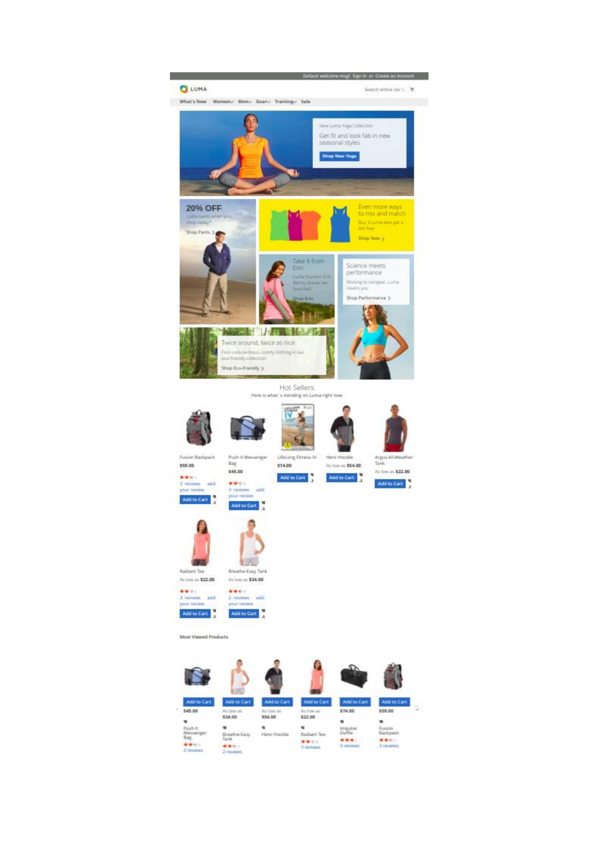

**Hot Sellers** Here is what's trending on Luma right now

\$14.00

Add to Cart









Hero Hoodw

At low at \$54.00

Add to Cart







Push it Messenger<br>Bag \$45.00

denievies<br>3 reviews – addi<br>your review Add to Cart Add to Cart





 $1 - 7$ 

Most Viewed Products

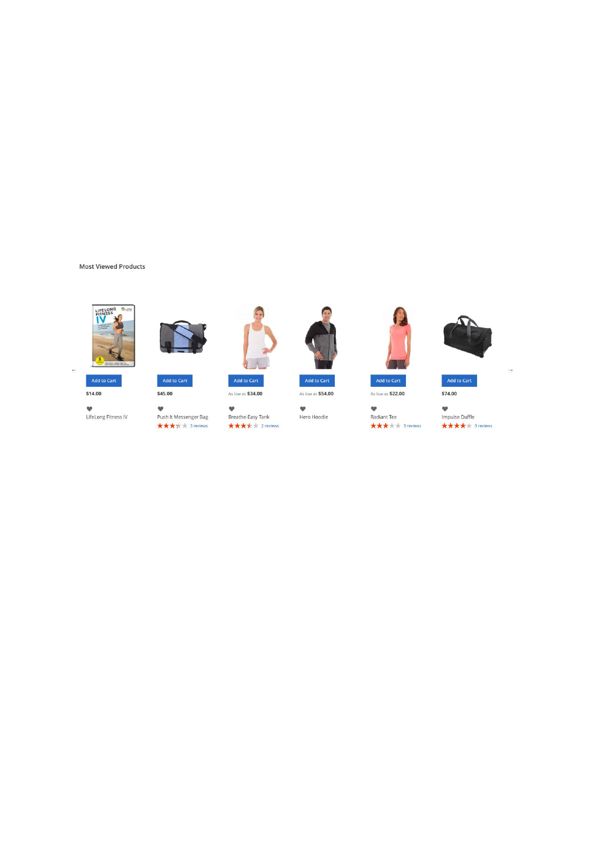#### **Most Viewed Products**



Add to Cart

 $$14.00$ 

 $\overline{a}$ 





\$45.00

♥<br>LifeLong Fitness IV ♥<br>Push It Messenger Bag<br>★★★★☆☆ 3 reviews



V<br>Breathe-Easy Tank<br>★★★★ 2 reviews

As low as \$54.00

♥<br>Hero Hoodie

As low as \$22.00

♥<br>Radiant Tee  $\star\star\star\star$ 



Add to Cart

 $\longrightarrow$ 

V<br>Impulse Duffle<br>★★★★ 3 reviews

 $$74.00$